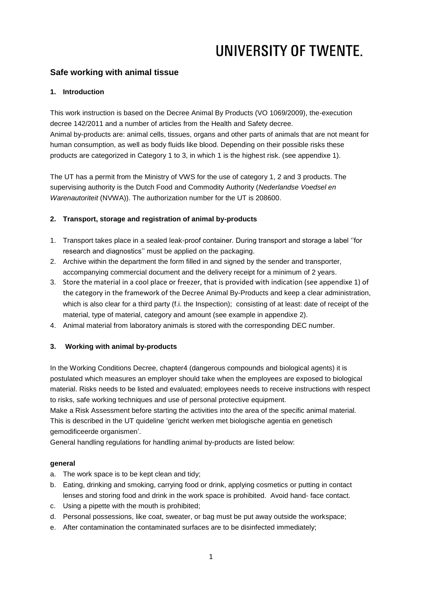## **Safe working with animal tissue**

### **1. Introduction**

This work instruction is based on the Decree Animal By Products (VO 1069/2009), the-execution decree 142/2011 and a number of articles from the Health and Safety decree. Animal by-products are: animal cells, tissues, organs and other parts of animals that are not meant for human consumption, as well as body fluids like blood. Depending on their possible risks these products are categorized in Category 1 to 3, in which 1 is the highest risk. (see appendixe 1).

The UT has a permit from the Ministry of VWS for the use of category 1, 2 and 3 products. The supervising authority is the Dutch Food and Commodity Authority (*Nederlandse Voedsel en Warenautoriteit* (NVWA)). The authorization number for the UT is 208600.

## **2. Transport, storage and registration of animal by-products**

- 1. Transport takes place in a sealed leak-proof container. During transport and storage a label ''for research and diagnostics'' must be applied on the packaging.
- 2. Archive within the department the form filled in and signed by the sender and transporter, accompanying commercial document and the delivery receipt for a minimum of 2 years.
- 3. Store the material in a cool place or freezer, that is provided with indication (see appendixe 1) of the category in the framework of the Decree Animal By-Products and keep a clear administration, which is also clear for a third party (f.i. the Inspection); consisting of at least: date of receipt of the material, type of material, category and amount (see example in appendixe 2).
- 4. Animal material from laboratory animals is stored with the corresponding DEC number.

## **3. Working with animal by-products**

In the Working Conditions Decree, chapter4 (dangerous compounds and biological agents) it is postulated which measures an employer should take when the employees are exposed to biological material. Risks needs to be listed and evaluated; employees needs to receive instructions with respect to risks, safe working techniques and use of personal protective equipment.

Make a Risk Assessment before starting the activities into the area of the specific animal material. This is described in the UT quideline 'gericht werken met biologische agentia en genetisch gemodificeerde organismen'.

General handling regulations for handling animal by-products are listed below:

### **general**

- a. The work space is to be kept clean and tidy;
- b. Eating, drinking and smoking, carrying food or drink, applying cosmetics or putting in contact lenses and storing food and drink in the work space is prohibited. Avoid hand- face contact.
- c. Using a pipette with the mouth is prohibited;
- d. Personal possessions, like coat, sweater, or bag must be put away outside the workspace;
- e. After contamination the contaminated surfaces are to be disinfected immediately;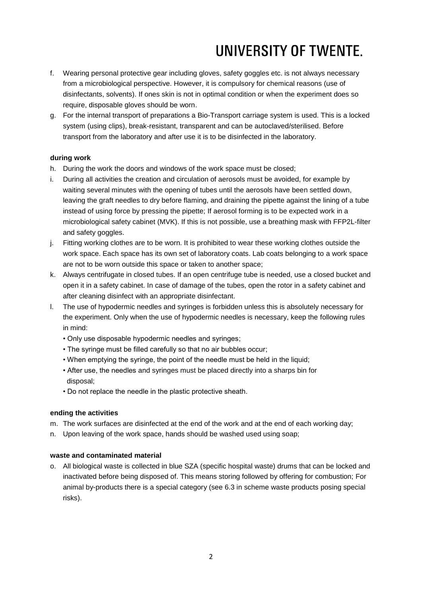- f. Wearing personal protective gear including gloves, safety goggles etc. is not always necessary from a microbiological perspective. However, it is compulsory for chemical reasons (use of disinfectants, solvents). If ones skin is not in optimal condition or when the experiment does so require, disposable gloves should be worn.
- g. For the internal transport of preparations a Bio-Transport carriage system is used. This is a locked system (using clips), break-resistant, transparent and can be autoclaved/sterilised. Before transport from the laboratory and after use it is to be disinfected in the laboratory.

### **during work**

- h. During the work the doors and windows of the work space must be closed;
- i. During all activities the creation and circulation of aerosols must be avoided, for example by waiting several minutes with the opening of tubes until the aerosols have been settled down, leaving the graft needles to dry before flaming, and draining the pipette against the lining of a tube instead of using force by pressing the pipette; If aerosol forming is to be expected work in a microbiological safety cabinet (MVK). If this is not possible, use a breathing mask with FFP2L-filter and safety goggles.
- j. Fitting working clothes are to be worn. It is prohibited to wear these working clothes outside the work space. Each space has its own set of laboratory coats. Lab coats belonging to a work space are not to be worn outside this space or taken to another space;
- k. Always centrifugate in closed tubes. If an open centrifuge tube is needed, use a closed bucket and open it in a safety cabinet. In case of damage of the tubes, open the rotor in a safety cabinet and after cleaning disinfect with an appropriate disinfectant.
- l. The use of hypodermic needles and syringes is forbidden unless this is absolutely necessary for the experiment. Only when the use of hypodermic needles is necessary, keep the following rules in mind:
	- Only use disposable hypodermic needles and syringes;
	- The syringe must be filled carefully so that no air bubbles occur;
	- When emptying the syringe, the point of the needle must be held in the liquid;
	- After use, the needles and syringes must be placed directly into a sharps bin for disposal;
	- Do not replace the needle in the plastic protective sheath.

### **ending the activities**

- m. The work surfaces are disinfected at the end of the work and at the end of each working day;
- n. Upon leaving of the work space, hands should be washed used using soap;

### **waste and contaminated material**

o. All biological waste is collected in blue SZA (specific hospital waste) drums that can be locked and inactivated before being disposed of. This means storing followed by offering for combustion; For animal by-products there is a special category (see 6.3 in scheme waste products posing special risks).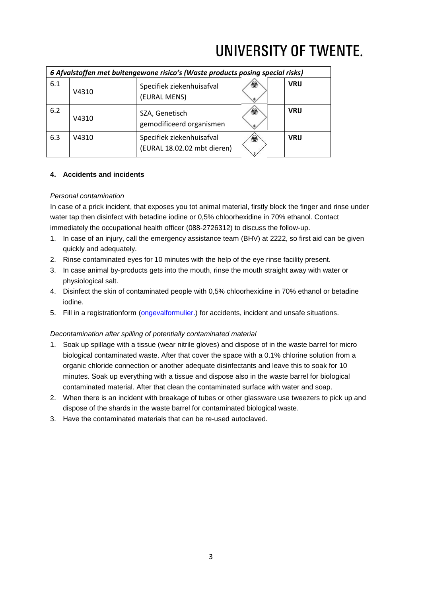| 6 Afvalstoffen met buitengewone risico's (Waste products posing special risks) |       |                                                          |    |             |  |  |
|--------------------------------------------------------------------------------|-------|----------------------------------------------------------|----|-------------|--|--|
| 6.1                                                                            | V4310 | Specifiek ziekenhuisafval<br>(EURAL MENS)                | œ. | <b>VRIJ</b> |  |  |
| 6.2                                                                            | V4310 | SZA, Genetisch<br>gemodificeerd organismen               | ⊛  | <b>VRIJ</b> |  |  |
| 6.3                                                                            | V4310 | Specifiek ziekenhuisafval<br>(EURAL 18.02.02 mbt dieren) | ۷  | <b>VRIJ</b> |  |  |

## **4. Accidents and incidents**

### *Personal contamination*

In case of a prick incident, that exposes you tot animal material, firstly block the finger and rinse under water tap then disinfect with betadine iodine or 0,5% chloorhexidine in 70% ethanol. Contact immediately the occupational health officer (088-2726312) to discuss the follow-up.

- 1. In case of an injury, call the emergency assistance team (BHV) at 2222, so first aid can be given quickly and adequately.
- 2. Rinse contaminated eyes for 10 minutes with the help of the eye rinse facility present.
- 3. In case animal by-products gets into the mouth, rinse the mouth straight away with water or physiological salt.
- 4. Disinfect the skin of contaminated people with 0,5% chloorhexidine in 70% ethanol or betadine iodine.
- 5. Fill in a registrationform [\(ongevalformulier.\)](https://www.utwente.nl/hr/formulieren_webapplicaties/ongevallenformulier/) for accidents, incident and unsafe situations.

### *Decontamination after spilling of potentially contaminated material*

- 1. Soak up spillage with a tissue (wear nitrile gloves) and dispose of in the waste barrel for micro biological contaminated waste. After that cover the space with a 0.1% chlorine solution from a organic chloride connection or another adequate disinfectants and leave this to soak for 10 minutes. Soak up everything with a tissue and dispose also in the waste barrel for biological contaminated material. After that clean the contaminated surface with water and soap.
- 2. When there is an incident with breakage of tubes or other glassware use tweezers to pick up and dispose of the shards in the waste barrel for contaminated biological waste.
- 3. Have the contaminated materials that can be re-used autoclaved.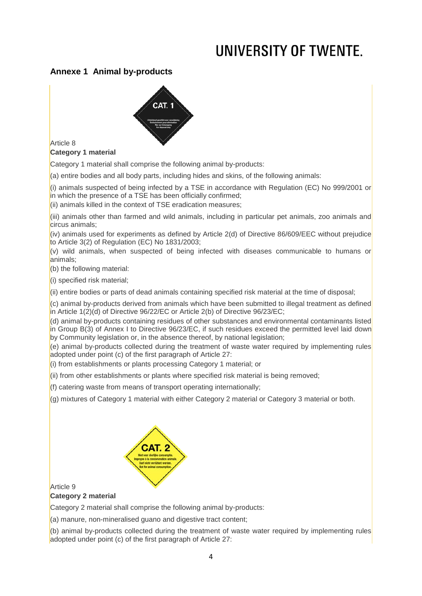## **Annexe 1 Animal by-products**



## Article 8

## **Category 1 material**

Category 1 material shall comprise the following animal by-products:

(a) entire bodies and all body parts, including hides and skins, of the following animals:

(i) animals suspected of being infected by a TSE in accordance with Regulation (EC) No 999/2001 or in which the presence of a TSE has been officially confirmed;

 $(iii)$  animals killed in the context of TSE eradication measures;

(iii) animals other than farmed and wild animals, including in particular pet animals, zoo animals and circus animals;

(iv) animals used for experiments as defined by Article 2(d) of Directive 86/609/EEC without prejudice to Article  $3(2)$  of Regulation (EC) No 1831/2003;

 $\sqrt{(v)}$  wild animals, when suspected of being infected with diseases communicable to humans or animals;

(b) the following material:

(i) specified risk material;

(ii) entire bodies or parts of dead animals containing specified risk material at the time of disposal;

 $(c)$  animal by-products derived from animals which have been submitted to illegal treatment as defined in Article  $1(2)(d)$  of Directive 96/22/EC or Article 2(b) of Directive 96/23/EC;

(d) animal by-products containing residues of other substances and environmental contaminants listed  $\sin$  Group B(3) of Annex I to Directive 96/23/EC, if such residues exceed the permitted level laid down by Community legislation or, in the absence thereof, by national legislation;

 $\epsilon$ ) animal by-products collected during the treatment of waste water required by implementing rules adopted under point (c) of the first paragraph of Article 27:

 $\vert$ (i) from establishments or plants processing Category 1 material; or

(ii) from other establishments or plants where specified risk material is being removed;

(f) catering waste from means of transport operating internationally;

(g) mixtures of Category 1 material with either Category 2 material or Category 3 material or both.



Article 9

### **Category 2 material**

Category 2 material shall comprise the following animal by-products:

(a) manure, non-mineralised guano and digestive tract content;

(b) animal by-products collected during the treatment of waste water required by implementing rules adopted under point (c) of the first paragraph of Article 27: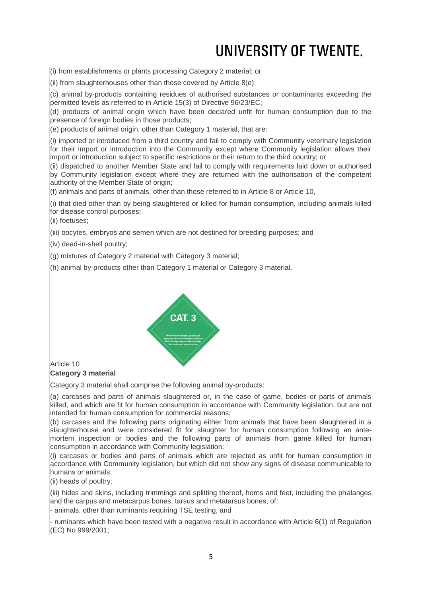(i) from establishments or plants processing Category 2 material; or

(ii) from slaughterhouses other than those covered by Article  $8(e)$ ;

(c) animal by-products containing residues of authorised substances or contaminants exceeding the permitted levels as referred to in Article 15(3) of Directive 96/23/EC;

 $\alpha$ ) products of animal origin which have been declared unfit for human consumption due to the presence of foreign bodies in those products;

 $\vert$ (e) products of animal origin, other than Category 1 material, that are:

 $(i)$  imported or introduced from a third country and fail to comply with Community veterinary legislation for their import or introduction into the Community except where Community legislation allows their import or introduction subject to specific restrictions or their return to the third country; or

(ii) dispatched to another Member State and fail to comply with requirements laid down or authorised by Community legislation except where they are returned with the authorisation of the competent authority of the Member State of origin;

 $($ f) animals and parts of animals, other than those referred to in Article 8 or Article 10,

 $(i)$  that died other than by being slaughtered or killed for human consumption, including animals killed for disease control purposes;

(ii) foetuses;

(iii) oocytes, embryos and semen which are not destined for breeding purposes; and

(iv) dead-in-shell poultry;

(g) mixtures of Category 2 material with Category 3 material;

(h) animal by-products other than Category 1 material or Category 3 material.



### Article 10 **Category 3 material**

Category 3 material shall comprise the following animal by-products:

(a) carcases and parts of animals slaughtered or, in the case of game, bodies or parts of animals killed, and which are fit for human consumption in accordance with Community legislation, but are not intended for human consumption for commercial reasons;

 $($ b) carcases and the following parts originating either from animals that have been slaughtered in a slaughterhouse and were considered fit for slaughter for human consumption following an antemortem inspection or bodies and the following parts of animals from game killed for human consumption in accordance with Community legislation:

 $(i)$  carcases or bodies and parts of animals which are rejected as unfit for human consumption in accordance with Community legislation, but which did not show any signs of disease communicable to humans or animals;

(ii) heads of poultry;

(iii) hides and skins, including trimmings and splitting thereof, horns and feet, including the phalanges and the carpus and metacarpus bones, tarsus and metatarsus bones, of:

- animals, other than ruminants requiring TSE testing, and

- ruminants which have been tested with a negative result in accordance with Article 6(1) of Regulation (EC) No 999/2001;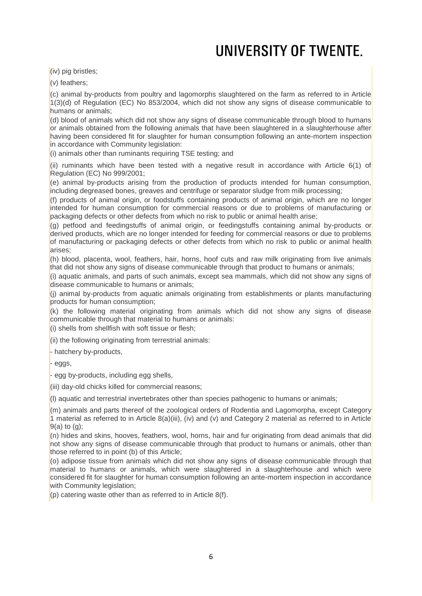(iv) pig bristles;

(v) feathers;

 $(c)$  animal by-products from poultry and lagomorphs slaughtered on the farm as referred to in Article  $1(3)(d)$  of Regulation (EC) No 853/2004, which did not show any signs of disease communicable to humans or animals;

 $\vert$ (d) blood of animals which did not show any signs of disease communicable through blood to humans or animals obtained from the following animals that have been slaughtered in a slaughterhouse after having been considered fit for slaughter for human consumption following an ante-mortem inspection in accordance with Community legislation:

 $(i)$  animals other than ruminants requiring TSE testing; and

(ii) ruminants which have been tested with a negative result in accordance with Article 6(1) of Regulation (EC) No 999/2001;

(e) animal by-products arising from the production of products intended for human consumption, including degreased bones, greaves and centrifuge or separator sludge from milk processing;

 $(6)$  products of animal origin, or foodstuffs containing products of animal origin, which are no longer intended for human consumption for commercial reasons or due to problems of manufacturing or packaging defects or other defects from which no risk to public or animal health arise;

 $(q)$  petfood and feedingstuffs of animal origin, or feedingstuffs containing animal by-products or derived products, which are no longer intended for feeding for commercial reasons or due to problems of manufacturing or packaging defects or other defects from which no risk to public or animal health arises;

 $(n)$  blood, placenta, wool, feathers, hair, horns, hoof cuts and raw milk originating from live animals that did not show any signs of disease communicable through that product to humans or animals;

 $(i)$  aquatic animals, and parts of such animals, except sea mammals, which did not show any signs of disease communicable to humans or animals:

(j) animal by-products from aquatic animals originating from establishments or plants manufacturing products for human consumption;

 $(k)$  the following material originating from animals which did not show any signs of disease communicable through that material to humans or animals:

(i) shells from shellfish with soft tissue or flesh;

(ii) the following originating from terrestrial animals:

- hatchery by-products,

- eggs,

- egg by-products, including egg shells,

(iii) day-old chicks killed for commercial reasons;

(l) aquatic and terrestrial invertebrates other than species pathogenic to humans or animals;

 $(m)$  animals and parts thereof of the zoological orders of Rodentia and Lagomorpha, except Category 1 material as referred to in Article 8(a)(iii), (iv) and (v) and Category 2 material as referred to in Article  $9(a)$  to  $(a)$ :

 $(n)$  hides and skins, hooves, feathers, wool, horns, hair and fur originating from dead animals that did not show any signs of disease communicable through that product to humans or animals, other than those referred to in point (b) of this Article;

 $\alpha$ ) adipose tissue from animals which did not show any signs of disease communicable through that material to humans or animals, which were slaughtered in a slaughterhouse and which were considered fit for slaughter for human consumption following an ante-mortem inspection in accordance with Community legislation;

 $($ p) catering waste other than as referred to in Article 8(f).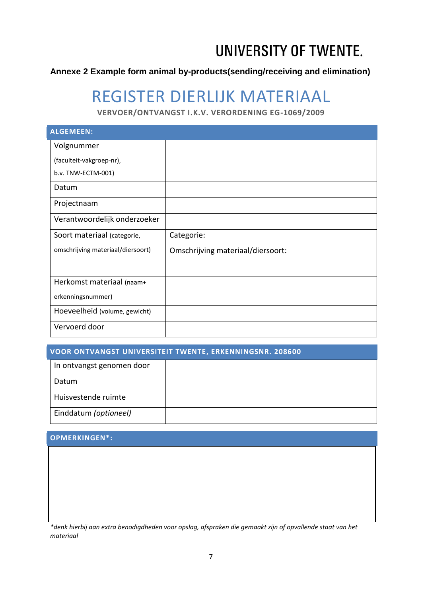## **Annexe 2 Example form animal by-products(sending/receiving and elimination)**

## REGISTER DIERLIJK MATERIAAL

**VERVOER/ONTVANGST I.K.V. VERORDENING EG-1069/2009**

| <b>ALGEMEEN:</b>                  |                                   |  |  |  |  |
|-----------------------------------|-----------------------------------|--|--|--|--|
| Volgnummer                        |                                   |  |  |  |  |
| (faculteit-vakgroep-nr),          |                                   |  |  |  |  |
| b.v. TNW-ECTM-001)                |                                   |  |  |  |  |
| Datum                             |                                   |  |  |  |  |
| Projectnaam                       |                                   |  |  |  |  |
| Verantwoordelijk onderzoeker      |                                   |  |  |  |  |
| Soort materiaal (categorie,       | Categorie:                        |  |  |  |  |
| omschrijving materiaal/diersoort) | Omschrijving materiaal/diersoort: |  |  |  |  |
|                                   |                                   |  |  |  |  |
| Herkomst materiaal (naam+         |                                   |  |  |  |  |
| erkenningsnummer)                 |                                   |  |  |  |  |
| Hoeveelheid (volume, gewicht)     |                                   |  |  |  |  |
| Vervoerd door                     |                                   |  |  |  |  |

| <b>VOOR ONTVANGST UNIVERSITEIT TWENTE, ERKENNINGSNR. 208600</b> |  |  |  |  |  |
|-----------------------------------------------------------------|--|--|--|--|--|
| In ontvangst genomen door                                       |  |  |  |  |  |
| Datum                                                           |  |  |  |  |  |
| Huisvestende ruimte                                             |  |  |  |  |  |
| Einddatum (optioneel)                                           |  |  |  |  |  |

## **OPMERKINGEN\*:**

*\*denk hierbij aan extra benodigdheden voor opslag, afspraken die gemaakt zijn of opvallende staat van het materiaal*